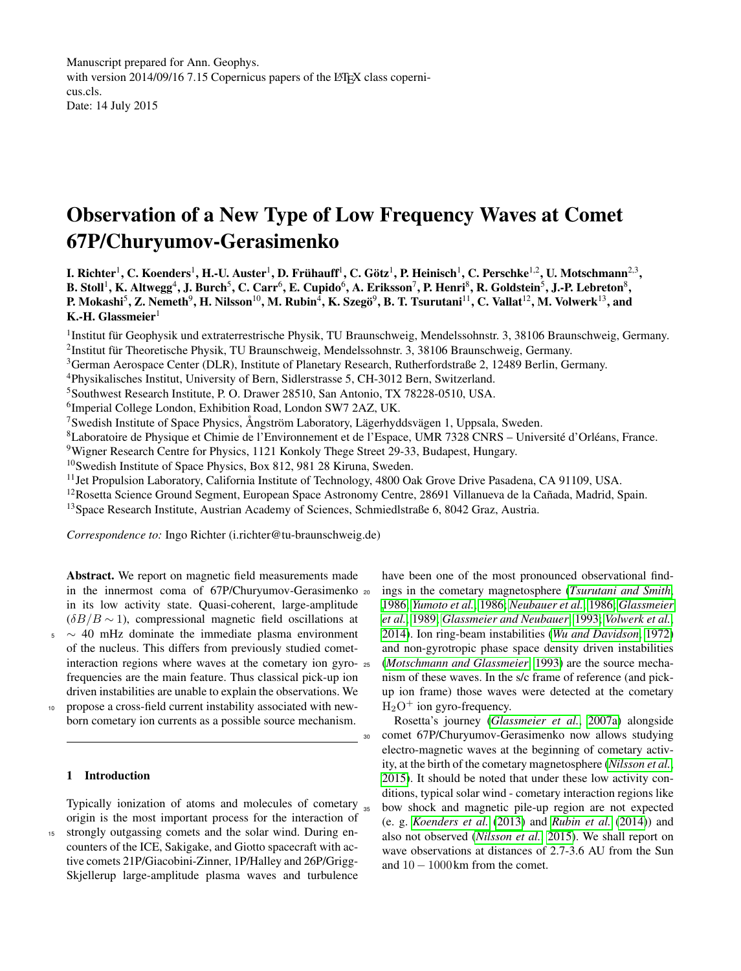Manuscript prepared for Ann. Geophys. with version 2014/09/16 7.15 Copernicus papers of the LATEX class copernicus.cls. Date: 14 July 2015

# Observation of a New Type of Low Frequency Waves at Comet 67P/Churyumov-Gerasimenko

I. Richter<sup>1</sup>, C. Koenders<sup>1</sup>, H.-U. Auster<sup>1</sup>, D. Frühauff<sup>1</sup>, C. Götz<sup>1</sup>, P. Heinisch<sup>1</sup>, C. Perschke<sup>1,2</sup>, U. Motschmann<sup>2,3</sup>, B. Stoll $^1$ , K. Altwegg $^4$ , J. Burch $^5$ , C. Carr $^6$ , E. Cupido $^6$ , A. Eriksson $^7$ , P. Henri $^8$ , R. Goldstein $^5$ , J.-P. Lebreton $^8$ , P. Mokashi $^5$ , Z. Nemeth $^9$ , H. Nilsson $^{10}$ , M. Rubin $^4$ , K. Szegö $^9$ , B. T. Tsurutani $^{11}$ , C. Vallat $^{12}$ , M. Volwerk $^{13}$ , and K.-H. Glassmeier $1$ 

<sup>1</sup>Institut für Geophysik und extraterrestrische Physik, TU Braunschweig, Mendelssohnstr. 3, 38106 Braunschweig, Germany. 2 Institut für Theoretische Physik, TU Braunschweig, Mendelssohnstr. 3, 38106 Braunschweig, Germany.

<sup>3</sup>German Aerospace Center (DLR), Institute of Planetary Research, Rutherfordstraße 2, 12489 Berlin, Germany.

<sup>4</sup>Physikalisches Institut, University of Bern, Sidlerstrasse 5, CH-3012 Bern, Switzerland.

<sup>5</sup>Southwest Research Institute, P. O. Drawer 28510, San Antonio, TX 78228-0510, USA.

6 Imperial College London, Exhibition Road, London SW7 2AZ, UK.

<sup>7</sup>Swedish Institute of Space Physics, Ångström Laboratory, Lägerhyddsvägen 1, Uppsala, Sweden.

<sup>8</sup>Laboratoire de Physique et Chimie de l'Environnement et de l'Espace, UMR 7328 CNRS – Université d'Orléans, France.

<sup>9</sup>Wigner Research Centre for Physics, 1121 Konkoly Thege Street 29-33, Budapest, Hungary.

<sup>10</sup>Swedish Institute of Space Physics, Box 812, 981 28 Kiruna, Sweden.

 $<sup>11</sup>$  Jet Propulsion Laboratory, California Institute of Technology, 4800 Oak Grove Drive Pasadena, CA 91109, USA.</sup>

<sup>12</sup>Rosetta Science Ground Segment, European Space Astronomy Centre, 28691 Villanueva de la Cañada, Madrid, Spain.

<sup>13</sup>Space Research Institute, Austrian Academy of Sciences, Schmiedlstraße 6, 8042 Graz, Austria.

*Correspondence to:* Ingo Richter (i.richter@tu-braunschweig.de)

Abstract. We report on magnetic field measurements made in the innermost coma of 67P/Churyumov-Gerasimenko in its low activity state. Quasi-coherent, large-amplitude  $(\delta B/B \sim 1)$ , compressional magnetic field oscillations at

- $5 \sim 40$  mHz dominate the immediate plasma environment of the nucleus. This differs from previously studied cometinteraction regions where waves at the cometary ion gyrofrequencies are the main feature. Thus classical pick-up ion driven instabilities are unable to explain the observations. We
- <sup>10</sup> propose a cross-field current instability associated with newborn cometary ion currents as a possible source mechanism.

# 1 Introduction

Typically ionization of atoms and molecules of cometary origin is the most important process for the interaction of strongly outgassing comets and the solar wind. During encounters of the ICE, Sakigake, and Giotto spacecraft with active comets 21P/Giacobini-Zinner, 1P/Halley and 26P/Grigg-Skjellerup large-amplitude plasma waves and turbulence

have been one of the most pronounced observational find-<sup>20</sup> ings in the cometary magnetosphere (*[Tsurutani and Smith](#page-4-0)*, [1986;](#page-4-0) *[Yumoto et al.](#page-4-1)*, [1986;](#page-4-1) *[Neubauer et al.](#page-4-2)*, [1986;](#page-4-2) *[Glassmeier](#page-4-3) [et al.](#page-4-3)*, [1989;](#page-4-3) *[Glassmeier and Neubauer](#page-4-4)*, [1993;](#page-4-4) *[Volwerk et al.](#page-4-5)*, [2014\)](#page-4-5). Ion ring-beam instabilities (*[Wu and Davidson](#page-4-6)*, [1972\)](#page-4-6) and non-gyrotropic phase space density driven instabilities (*[Motschmann and Glassmeier](#page-4-7)*, [1993\)](#page-4-7) are the source mechanism of these waves. In the s/c frame of reference (and pickup ion frame) those waves were detected at the cometary  $H<sub>2</sub>O<sup>+</sup>$  ion gyro-frequency.

Rosetta's journey (*[Glassmeier et al.](#page-4-8)*, [2007a\)](#page-4-8) alongside <sup>30</sup> comet 67P/Churyumov-Gerasimenko now allows studying electro-magnetic waves at the beginning of cometary activity, at the birth of the cometary magnetosphere (*[Nilsson et al.](#page-4-9)*, [2015\)](#page-4-9). It should be noted that under these low activity conditions, typical solar wind - cometary interaction regions like bow shock and magnetic pile-up region are not expected (e. g. *[Koenders et al.](#page-4-10)* [\(2013\)](#page-4-10) and *[Rubin et al.](#page-4-11)* [\(2014\)](#page-4-11)) and also not observed (*[Nilsson et al.](#page-4-9)*, [2015\)](#page-4-9). We shall report on wave observations at distances of 2.7-3.6 AU from the Sun and  $10 - 1000$  km from the comet.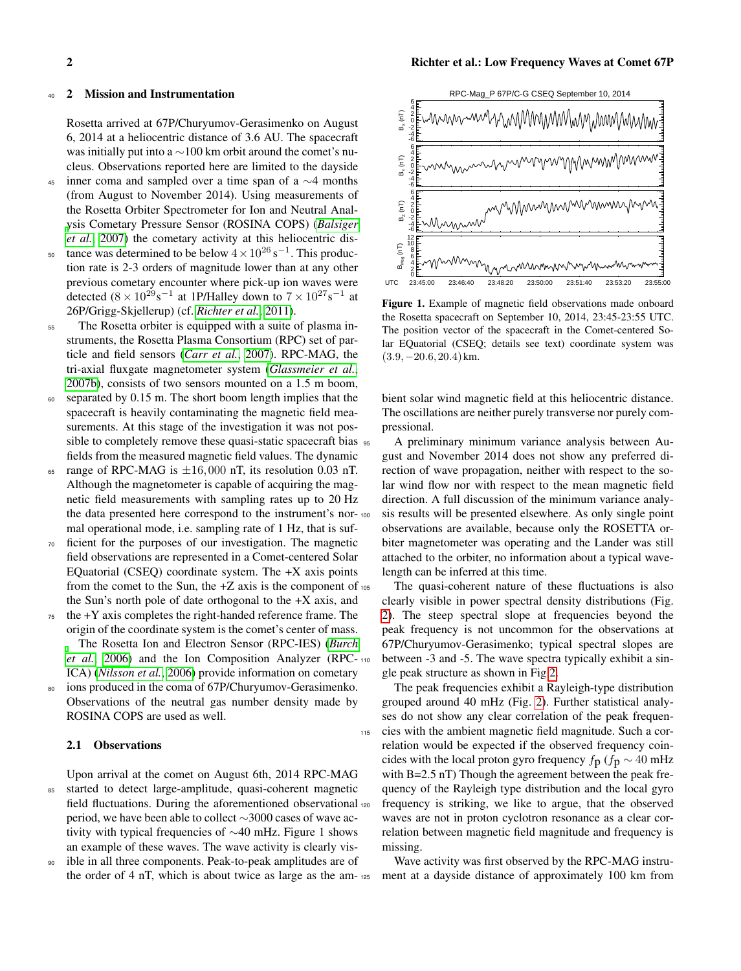#### 2 Mission and Instrumentation

Rosetta arrived at 67P/Churyumov-Gerasimenko on August 6, 2014 at a heliocentric distance of 3.6 AU. The spacecraft was initially put into a ∼100 km orbit around the comet's nucleus. Observations reported here are limited to the dayside

- $45$  inner coma and sampled over a time span of a ∼4 months (from August to November 2014). Using measurements of the Rosetta Orbiter Spectrometer for Ion and Neutral Anal[y](#page-4-12)sis Cometary Pressure Sensor (ROSINA COPS) (*[Balsiger](#page-4-12) [et al.](#page-4-12)*, [2007\)](#page-4-12) the cometary activity at this heliocentric dis-<sup>50</sup> tance was determined to be below  $4 \times 10^{26}$  s<sup>-1</sup>. This produc-
- tion rate is 2-3 orders of magnitude lower than at any other previous cometary encounter where pick-up ion waves were detected  $(8 \times 10^{29} \text{s}^{-1})$  at 1P/Halley down to  $7 \times 10^{27} \text{s}^{-1}$  at 26P/Grigg-Skjellerup) (cf. *[Richter et al.](#page-4-13)*, [2011\)](#page-4-13).
- <sup>55</sup> The Rosetta orbiter is equipped with a suite of plasma instruments, the Rosetta Plasma Consortium (RPC) set of particle and field sensors (*[Carr et al.](#page-4-14)*, [2007\)](#page-4-14). RPC-MAG, the tri-axial fluxgate magnetometer system (*[Glassmeier et al.](#page-4-15)*, [2007b\)](#page-4-15), consists of two sensors mounted on a 1.5 m boom,
- <sup>60</sup> separated by 0.15 m. The short boom length implies that the spacecraft is heavily contaminating the magnetic field measurements. At this stage of the investigation it was not possible to completely remove these quasi-static spacecraft bias  $\frac{1}{95}$ fields from the measured magnetic field values. The dynamic
- 65 range of RPC-MAG is  $\pm 16,000$  nT, its resolution 0.03 nT. Although the magnetometer is capable of acquiring the magnetic field measurements with sampling rates up to 20 Hz the data presented here correspond to the instrument's normal operational mode, i.e. sampling rate of 1 Hz, that is suf-
- <sup>70</sup> ficient for the purposes of our investigation. The magnetic field observations are represented in a Comet-centered Solar EQuatorial (CSEQ) coordinate system. The  $+X$  axis points from the comet to the Sun, the  $+Z$  axis is the component of  $105$ the Sun's north pole of date orthogonal to the  $+X$  axis, and
- $75$  the  $+Y$  axis completes the right-handed reference frame. The origin of the coordinate system is the comet's center of mass.
	- The Rosetta Ion and Electron Sensor (RPC-IES) (*[Burch](#page-4-16) [et al.](#page-4-16)*, [2006\)](#page-4-16) and the Ion Composition Analyzer (RPC-ICA) (*[Nilsson et al.](#page-4-17)*, [2006\)](#page-4-17) provide information on cometary
- <sup>80</sup> ions produced in the coma of 67P/Churyumov-Gerasimenko. Observations of the neutral gas number density made by ROSINA COPS are used as well.

## 2.1 Observations

Upon arrival at the comet on August 6th, 2014 RPC-MAG <sup>85</sup> started to detect large-amplitude, quasi-coherent magnetic field fluctuations. During the aforementioned observational period, we have been able to collect ∼3000 cases of wave activity with typical frequencies of ∼40 mHz. Figure 1 shows an example of these waves. The wave activity is clearly vis-

ible in all three components. Peak-to-peak amplitudes are of the order of 4 nT, which is about twice as large as the am-



Figure 1. Example of magnetic field observations made onboard the Rosetta spacecraft on September 10, 2014, 23:45-23:55 UTC. The position vector of the spacecraft in the Comet-centered Solar EQuatorial (CSEQ; details see text) coordinate system was  $(3.9,-20.6,20.4)$  km.

bient solar wind magnetic field at this heliocentric distance. The oscillations are neither purely transverse nor purely compressional.

<sup>95</sup> A preliminary minimum variance analysis between August and November 2014 does not show any preferred direction of wave propagation, neither with respect to the solar wind flow nor with respect to the mean magnetic field direction. A full discussion of the minimum variance analysis results will be presented elsewhere. As only single point observations are available, because only the ROSETTA orbiter magnetometer was operating and the Lander was still attached to the orbiter, no information about a typical wavelength can be inferred at this time.

The quasi-coherent nature of these fluctuations is also clearly visible in power spectral density distributions (Fig. [2\)](#page-2-0). The steep spectral slope at frequencies beyond the peak frequency is not uncommon for the observations at 67P/Churyumov-Gerasimenko; typical spectral slopes are between -3 and -5. The wave spectra typically exhibit a single peak structure as shown in Fig[.2.](#page-2-0)

The peak frequencies exhibit a Rayleigh-type distribution grouped around 40 mHz (Fig. [2\)](#page-2-0). Further statistical analyses do not show any clear correlation of the peak frequen-<sup>115</sup> cies with the ambient magnetic field magnitude. Such a correlation would be expected if the observed frequency coincides with the local proton gyro frequency  $f_{\text{D}}$  ( $f_{\text{D}} \sim 40 \text{ mHz}$ with B=2.5 nT) Though the agreement between the peak frequency of the Rayleigh type distribution and the local gyro frequency is striking, we like to argue, that the observed waves are not in proton cyclotron resonance as a clear correlation between magnetic field magnitude and frequency is missing.

Wave activity was first observed by the RPC-MAG instrument at a dayside distance of approximately 100 km from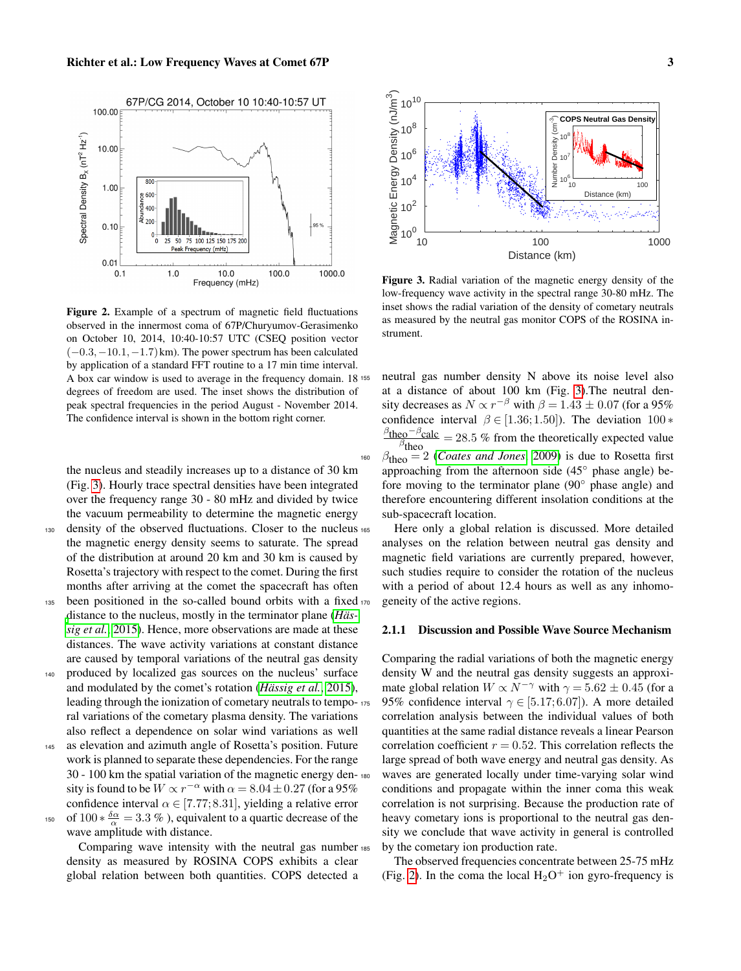

<span id="page-2-0"></span>Figure 2. Example of a spectrum of magnetic field fluctuations observed in the innermost coma of 67P/Churyumov-Gerasimenko on October 10, 2014, 10:40-10:57 UTC (CSEQ position vector  $(-0.3,-10.1,-1.7)$  km). The power spectrum has been calculated by application of a standard FFT routine to a 17 min time interval. A box car window is used to average in the frequency domain. 18 degrees of freedom are used. The inset shows the distribution of peak spectral frequencies in the period August - November 2014. The confidence interval is shown in the bottom right corner.

the nucleus and steadily increases up to a distance of 30 km (Fig. [3\)](#page-2-1). Hourly trace spectral densities have been integrated over the frequency range 30 - 80 mHz and divided by twice the vacuum permeability to determine the magnetic energy

- <sup>130</sup> density of the observed fluctuations. Closer to the nucleus the magnetic energy density seems to saturate. The spread of the distribution at around 20 km and 30 km is caused by Rosetta's trajectory with respect to the comet. During the first months after arriving at the comet the spacecraft has often 135 been positioned in the so-called bound orbits with a fixed 170
- [d](#page-4-18)istance to the nucleus, mostly in the terminator plane (*[Häs](#page-4-18)[sig et al.](#page-4-18)*, [2015\)](#page-4-18). Hence, more observations are made at these distances. The wave activity variations at constant distance are caused by temporal variations of the neutral gas density
- <sup>140</sup> produced by localized gas sources on the nucleus' surface and modulated by the comet's rotation (*[Hässig et al.](#page-4-18)*, [2015\)](#page-4-18), leading through the ionization of cometary neutrals to temporal variations of the cometary plasma density. The variations also reflect a dependence on solar wind variations as well
- <sup>145</sup> as elevation and azimuth angle of Rosetta's position. Future work is planned to separate these dependencies. For the range 30 - 100 km the spatial variation of the magnetic energy density is found to be  $W \propto r^{-\alpha}$  with  $\alpha = 8.04 \pm 0.27$  (for a 95%) confidence interval  $\alpha \in [7.77; 8.31]$ , yielding a relative error <sup>150</sup> of 100 ∗  $\frac{\delta \alpha}{\alpha}$  = 3.3 %), equivalent to a quartic decrease of the

wave amplitude with distance.

Comparing wave intensity with the neutral gas number density as measured by ROSINA COPS exhibits a clear global relation between both quantities. COPS detected a



<span id="page-2-1"></span>Figure 3. Radial variation of the magnetic energy density of the low-frequency wave activity in the spectral range 30-80 mHz. The inset shows the radial variation of the density of cometary neutrals as measured by the neutral gas monitor COPS of the ROSINA instrument.

neutral gas number density N above its noise level also at a distance of about 100 km (Fig. [3\)](#page-2-1).The neutral density decreases as  $N \propto r^{-\beta}$  with  $\beta = 1.43 \pm 0.07$  (for a 95%) confidence interval  $\beta \in [1.36; 1.50]$ ). The deviation 100 \*  $\frac{\beta_{\text{theo}} - \beta_{\text{calc}}}{\beta_{\text{theo}}} = 28.5$  % from the theoretically expected value  $\beta$ <sub>theo</sub> 160  $\beta_{\text{theo}} = 2$  (*[Coates and Jones](#page-4-19)*, [2009\)](#page-4-19) is due to Rosetta first approaching from the afternoon side (45◦ phase angle) before moving to the terminator plane (90◦ phase angle) and therefore encountering different insolation conditions at the sub-spacecraft location.

Here only a global relation is discussed. More detailed analyses on the relation between neutral gas density and magnetic field variations are currently prepared, however, such studies require to consider the rotation of the nucleus with a period of about 12.4 hours as well as any inhomogeneity of the active regions.

# 2.1.1 Discussion and Possible Wave Source Mechanism

Comparing the radial variations of both the magnetic energy density W and the neutral gas density suggests an approximate global relation  $W \propto N^{-\gamma}$  with  $\gamma = 5.62 \pm 0.45$  (for a 95% confidence interval  $\gamma \in [5.17; 6.07]$ ). A more detailed correlation analysis between the individual values of both quantities at the same radial distance reveals a linear Pearson correlation coefficient  $r = 0.52$ . This correlation reflects the large spread of both wave energy and neutral gas density. As waves are generated locally under time-varying solar wind conditions and propagate within the inner coma this weak correlation is not surprising. Because the production rate of heavy cometary ions is proportional to the neutral gas density we conclude that wave activity in general is controlled by the cometary ion production rate.

The observed frequencies concentrate between 25-75 mHz (Fig. [2\)](#page-2-0). In the coma the local  $H_2O^+$  ion gyro-frequency is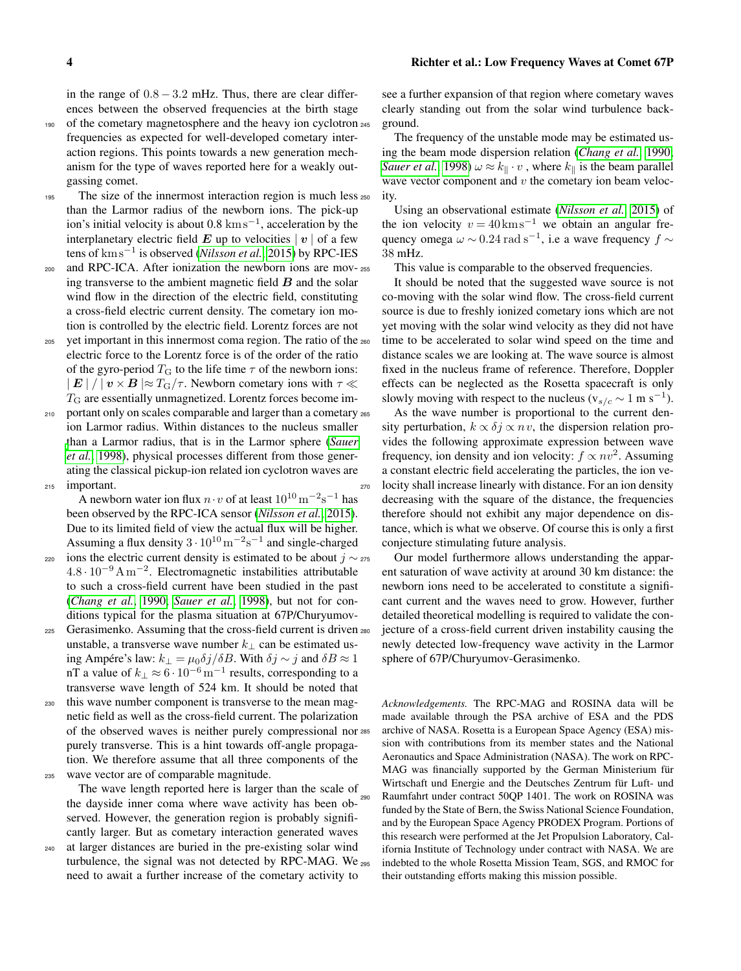in the range of  $0.8 - 3.2$  mHz. Thus, there are clear differences between the observed frequencies at the birth stage

- 190 of the cometary magnetosphere and the heavy ion cyclotron 245 frequencies as expected for well-developed cometary interaction regions. This points towards a new generation mechanism for the type of waves reported here for a weakly outgassing comet.
- 195 The size of the innermost interaction region is much less 250 than the Larmor radius of the newborn ions. The pick-up ion's initial velocity is about  $0.8 \text{ km s}^{-1}$ , acceleration by the interplanetary electric field  $E$  up to velocities  $|v|$  of a few tens of km s−<sup>1</sup> is observed (*[Nilsson et al.](#page-4-9)*, [2015\)](#page-4-9) by RPC-IES
- <sup>200</sup> and RPC-ICA. After ionization the newborn ions are moving transverse to the ambient magnetic field  $\boldsymbol{B}$  and the solar wind flow in the direction of the electric field, constituting a cross-field electric current density. The cometary ion motion is controlled by the electric field. Lorentz forces are not
- <sup>205</sup> yet important in this innermost coma region. The ratio of the electric force to the Lorentz force is of the order of the ratio of the gyro-period  $T<sub>G</sub>$  to the life time  $\tau$  of the newborn ions:  $|E|/|v \times B| \approx T_{\rm G}/\tau$ . Newborn cometary ions with  $\tau \ll 1$  $T<sub>G</sub>$  are essentially unmagnetized. Lorentz forces become im-
- 210 portant only on scales comparable and larger than a cometary 265 ion Larmor radius. Within distances to the nucleus smaller [t](#page-4-20)han a Larmor radius, that is in the Larmor sphere (*[Sauer](#page-4-20) [et al.](#page-4-20)*, [1998\)](#page-4-20), physical processes different from those generating the classical pickup-ion related ion cyclotron waves are <sup>215</sup> important.

A newborn water ion flux  $n \cdot v$  of at least  $10^{10} \text{ m}^{-2} \text{s}^{-1}$  has been observed by the RPC-ICA sensor (*[Nilsson et al.](#page-4-9)*, [2015\)](#page-4-9). Due to its limited field of view the actual flux will be higher. Assuming a flux density  $3 \cdot 10^{10} \,\mathrm{m}^{-2} \mathrm{s}^{-1}$  and single-charged

- ions the electric current density is estimated to be about  $j \sim$  275  $4.8 \cdot 10^{-9} \text{ A m}^{-2}$ . Electromagnetic instabilities attributable to such a cross-field current have been studied in the past (*[Chang et al.](#page-4-21)*, [1990;](#page-4-21) *[Sauer et al.](#page-4-20)*, [1998\)](#page-4-20), but not for conditions typical for the plasma situation at 67P/Churyumov-
- 225 Gerasimenko. Assuming that the cross-field current is driven 280 unstable, a transverse wave number  $k_{\perp}$  can be estimated using Ampére's law:  $k_{\perp} = \mu_0 \delta j / \delta B$ . With  $\delta j \sim j$  and  $\delta B \approx 1$ nT a value of  $k_{\perp} \approx 6 \cdot 10^{-6} \,\mathrm{m}^{-1}$  results, corresponding to a transverse wave length of 524 km. It should be noted that
- <sup>230</sup> this wave number component is transverse to the mean magnetic field as well as the cross-field current. The polarization of the observed waves is neither purely compressional nor purely transverse. This is a hint towards off-angle propagation. We therefore assume that all three components of the <sup>235</sup> wave vector are of comparable magnitude.

The wave length reported here is larger than the scale of the dayside inner coma where wave activity has been observed. However, the generation region is probably significantly larger. But as cometary interaction generated waves <sup>240</sup> at larger distances are buried in the pre-existing solar wind

turbulence, the signal was not detected by RPC-MAG. We need to await a further increase of the cometary activity to

see a further expansion of that region where cometary waves clearly standing out from the solar wind turbulence background.

The frequency of the unstable mode may be estimated using the beam mode dispersion relation (*[Chang et al.](#page-4-21)*, [1990;](#page-4-21) *[Sauer et al.](#page-4-20)*, [1998\)](#page-4-20)  $\omega \approx k_{\parallel} \cdot v$ , where  $k_{\parallel}$  is the beam parallel wave vector component and  $v$  the cometary ion beam velocity.

Using an observational estimate (*[Nilsson et al.](#page-4-9)*, [2015\)](#page-4-9) of the ion velocity  $v = 40 \text{km s}^{-1}$  we obtain an angular frequency omega  $\omega \sim 0.24 \text{ rad s}^{-1}$ , i.e a wave frequency  $f \sim$ 38 mHz.

This value is comparable to the observed frequencies.

It should be noted that the suggested wave source is not co-moving with the solar wind flow. The cross-field current source is due to freshly ionized cometary ions which are not yet moving with the solar wind velocity as they did not have time to be accelerated to solar wind speed on the time and distance scales we are looking at. The wave source is almost fixed in the nucleus frame of reference. Therefore, Doppler effects can be neglected as the Rosetta spacecraft is only slowly moving with respect to the nucleus ( $v_{s/c} \sim 1 \text{ m s}^{-1}$ ).

As the wave number is proportional to the current density perturbation,  $k \propto \delta j \propto nv$ , the dispersion relation provides the following approximate expression between wave frequency, ion density and ion velocity:  $f \propto nv^2$ . Assuming a constant electric field accelerating the particles, the ion ve-<sup>270</sup> locity shall increase linearly with distance. For an ion density decreasing with the square of the distance, the frequencies therefore should not exhibit any major dependence on distance, which is what we observe. Of course this is only a first conjecture stimulating future analysis.

Our model furthermore allows understanding the apparent saturation of wave activity at around 30 km distance: the newborn ions need to be accelerated to constitute a significant current and the waves need to grow. However, further detailed theoretical modelling is required to validate the conjecture of a cross-field current driven instability causing the newly detected low-frequency wave activity in the Larmor sphere of 67P/Churyumov-Gerasimenko.

*Acknowledgements.* The RPC-MAG and ROSINA data will be made available through the PSA archive of ESA and the PDS archive of NASA. Rosetta is a European Space Agency (ESA) mission with contributions from its member states and the National Aeronautics and Space Administration (NASA). The work on RPC-MAG was financially supported by the German Ministerium für Wirtschaft und Energie and the Deutsches Zentrum für Luft- und Raumfahrt under contract 50QP 1401. The work on ROSINA was funded by the State of Bern, the Swiss National Science Foundation, and by the European Space Agency PRODEX Program. Portions of this research were performed at the Jet Propulsion Laboratory, California Institute of Technology under contract with NASA. We are indebted to the whole Rosetta Mission Team, SGS, and RMOC for their outstanding efforts making this mission possible.